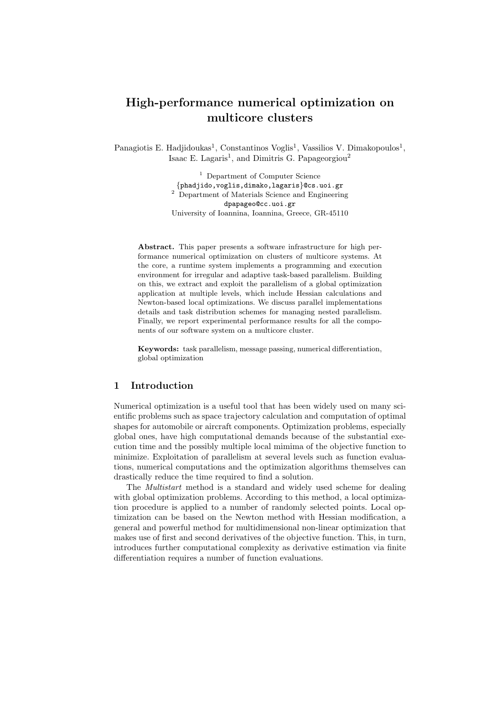# **High-performance numerical optimization on multicore clusters**

Panagiotis E. Hadjidoukas<sup>1</sup>, Constantinos Voglis<sup>1</sup>, Vassilios V. Dimakopoulos<sup>1</sup>, Isaac E. Lagaris<sup>1</sup>, and Dimitris G. Papageorgiou<sup>2</sup>

> <sup>1</sup> Department of Computer Science *{*phadjido,voglis,dimako,lagaris*}*@cs.uoi.gr <sup>2</sup> Department of Materials Science and Engineering dpapageo@cc.uoi.gr University of Ioannina, Ioannina, Greece, GR-45110

**Abstract.** This paper presents a software infrastructure for high performance numerical optimization on clusters of multicore systems. At the core, a runtime system implements a programming and execution environment for irregular and adaptive task-based parallelism. Building on this, we extract and exploit the parallelism of a global optimization application at multiple levels, which include Hessian calculations and Newton-based local optimizations. We discuss parallel implementations details and task distribution schemes for managing nested parallelism. Finally, we report experimental performance results for all the components of our software system on a multicore cluster.

**Keywords:** task parallelism, message passing, numerical differentiation, global optimization

#### **1 Introduction**

Numerical optimization is a useful tool that has been widely used on many scientific problems such as space trajectory calculation and computation of optimal shapes for automobile or aircraft components. Optimization problems, especially global ones, have high computational demands because of the substantial execution time and the possibly multiple local mimima of the objective function to minimize. Exploitation of parallelism at several levels such as function evaluations, numerical computations and the optimization algorithms themselves can drastically reduce the time required to find a solution.

The *Multistart* method is a standard and widely used scheme for dealing with global optimization problems. According to this method, a local optimization procedure is applied to a number of randomly selected points. Local optimization can be based on the Newton method with Hessian modification, a general and powerful method for multidimensional non-linear optimization that makes use of first and second derivatives of the objective function. This, in turn, introduces further computational complexity as derivative estimation via finite differentiation requires a number of function evaluations.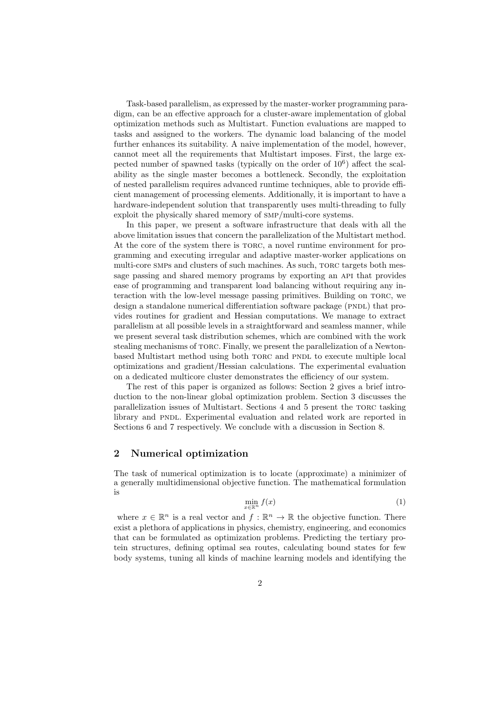Task-based parallelism, as expressed by the master-worker programming paradigm, can be an effective approach for a cluster-aware implementation of global optimization methods such as Multistart. Function evaluations are mapped to tasks and assigned to the workers. The dynamic load balancing of the model further enhances its suitability. A naive implementation of the model, however, cannot meet all the requirements that Multistart imposes. First, the large expected number of spawned tasks (typically on the order of  $10<sup>6</sup>$ ) affect the scalability as the single master becomes a bottleneck. Secondly, the exploitation of nested parallelism requires advanced runtime techniques, able to provide efficient management of processing elements. Additionally, it is important to have a hardware-independent solution that transparently uses multi-threading to fully exploit the physically shared memory of smp/multi-core systems.

In this paper, we present a software infrastructure that deals with all the above limitation issues that concern the parallelization of the Multistart method. At the core of the system there is TORC, a novel runtime environment for programming and executing irregular and adaptive master-worker applications on multi-core SMPs and clusters of such machines. As such, TORC targets both message passing and shared memory programs by exporting an api that provides ease of programming and transparent load balancing without requiring any interaction with the low-level message passing primitives. Building on torc, we design a standalone numerical differentiation software package (PNDL) that provides routines for gradient and Hessian computations. We manage to extract parallelism at all possible levels in a straightforward and seamless manner, while we present several task distribution schemes, which are combined with the work stealing mechanisms of TORC. Finally, we present the parallelization of a Newtonbased Multistart method using both TORC and PNDL to execute multiple local optimizations and gradient/Hessian calculations. The experimental evaluation on a dedicated multicore cluster demonstrates the efficiency of our system.

The rest of this paper is organized as follows: Section 2 gives a brief introduction to the non-linear global optimization problem. Section 3 discusses the parallelization issues of Multistart. Sections 4 and 5 present the TORC tasking library and PNDL. Experimental evaluation and related work are reported in Sections 6 and 7 respectively. We conclude with a discussion in Section 8.

### **2 Numerical optimization**

The task of numerical optimization is to locate (approximate) a minimizer of a generally multidimensional objective function. The mathematical formulation is

$$
\min_{x \in \mathbb{R}^n} f(x) \tag{1}
$$

where  $x \in \mathbb{R}^n$  is a real vector and  $f : \mathbb{R}^n \to \mathbb{R}$  the objective function. There exist a plethora of applications in physics, chemistry, engineering, and economics that can be formulated as optimization problems. Predicting the tertiary protein structures, defining optimal sea routes, calculating bound states for few body systems, tuning all kinds of machine learning models and identifying the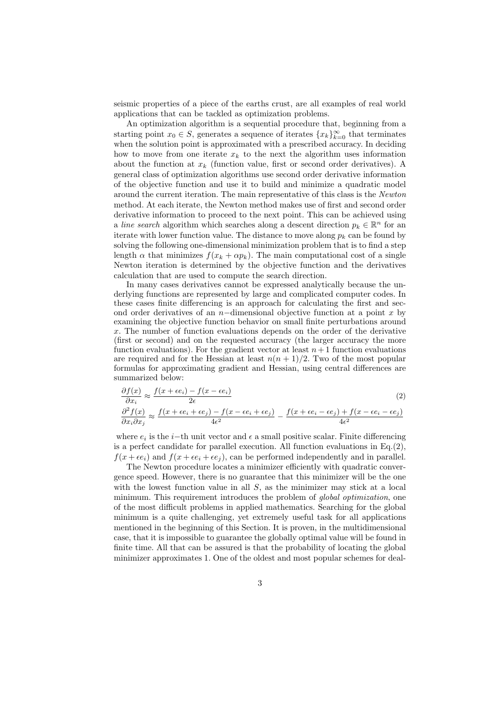seismic properties of a piece of the earths crust, are all examples of real world applications that can be tackled as optimization problems.

An optimization algorithm is a sequential procedure that, beginning from a starting point  $x_0 \in S$ , generates a sequence of iterates  $\{x_k\}_{k=0}^{\infty}$  that terminates when the solution point is approximated with a prescribed accuracy. In deciding how to move from one iterate  $x_k$  to the next the algorithm uses information about the function at  $x_k$  (function value, first or second order derivatives). A general class of optimization algorithms use second order derivative information of the objective function and use it to build and minimize a quadratic model around the current iteration. The main representative of this class is the *Newton* method. At each iterate, the Newton method makes use of first and second order derivative information to proceed to the next point. This can be achieved using a *line search* algorithm which searches along a descent direction  $p_k \in \mathbb{R}^n$  for an iterate with lower function value. The distance to move along  $p_k$  can be found by solving the following one-dimensional minimization problem that is to find a step length  $\alpha$  that minimizes  $f(x_k + \alpha p_k)$ . The main computational cost of a single Newton iteration is determined by the objective function and the derivatives calculation that are used to compute the search direction.

In many cases derivatives cannot be expressed analytically because the underlying functions are represented by large and complicated computer codes. In these cases finite differencing is an approach for calculating the first and second order derivatives of an *n−*dimensional objective function at a point *x* by examining the objective function behavior on small finite perturbations around *x*. The number of function evaluations depends on the order of the derivative (first or second) and on the requested accuracy (the larger accuracy the more function evaluations). For the gradient vector at least  $n+1$  function evaluations are required and for the Hessian at least  $n(n+1)/2$ . Two of the most popular formulas for approximating gradient and Hessian, using central differences are summarized below:

$$
\frac{\partial f(x)}{\partial x_i} \approx \frac{f(x + \epsilon e_i) - f(x - \epsilon e_i)}{2\epsilon}
$$
\n
$$
\frac{\partial^2 f(x)}{\partial x_i \partial x_j} \approx \frac{f(x + \epsilon e_i + \epsilon e_j) - f(x - \epsilon e_i + \epsilon e_j)}{4\epsilon^2} - \frac{f(x + \epsilon e_i - \epsilon e_j) + f(x - \epsilon e_i - \epsilon e_j)}{4\epsilon^2}
$$
\n(2)

where  $e_i$  is the *i*−th unit vector and  $\epsilon$  a small positive scalar. Finite differencing is a perfect candidate for parallel execution. All function evaluations in Eq.(2),  $f(x + \epsilon e_i)$  and  $f(x + \epsilon e_i + \epsilon e_j)$ , can be performed independently and in parallel.

The Newton procedure locates a minimizer efficiently with quadratic convergence speed. However, there is no guarantee that this minimizer will be the one with the lowest function value in all *S*, as the minimizer may stick at a local minimum. This requirement introduces the problem of *global optimization*, one of the most difficult problems in applied mathematics. Searching for the global minimum is a quite challenging, yet extremely useful task for all applications mentioned in the beginning of this Section. It is proven, in the multidimensional case, that it is impossible to guarantee the globally optimal value will be found in finite time. All that can be assured is that the probability of locating the global minimizer approximates 1. One of the oldest and most popular schemes for deal-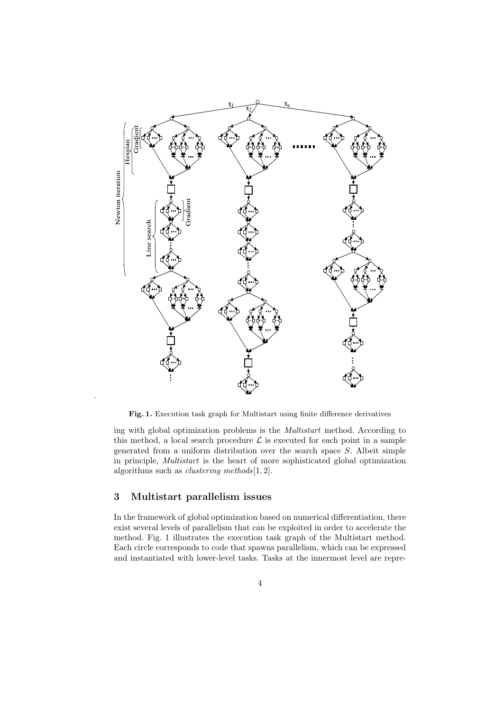

**Fig. 1.** Execution task graph for Multistart using finite difference derivatives

ing with global optimization problems is the *Multistart* method. According to this method, a local search procedure  $\mathcal L$  is executed for each point in a sample generated from a uniform distribution over the search space *S*. Albeit simple in principle, *Multistart* is the heart of more sophisticated global optimization algorithms such as *clustering methods*[1, 2].

# **3 Multistart parallelism issues**

In the framework of global optimization based on numerical differentiation, there exist several levels of parallelism that can be exploited in order to accelerate the method. Fig. 1 illustrates the execution task graph of the Multistart method. Each circle corresponds to code that spawns parallelism, which can be expressed and instantiated with lower-level tasks. Tasks at the innermost level are repre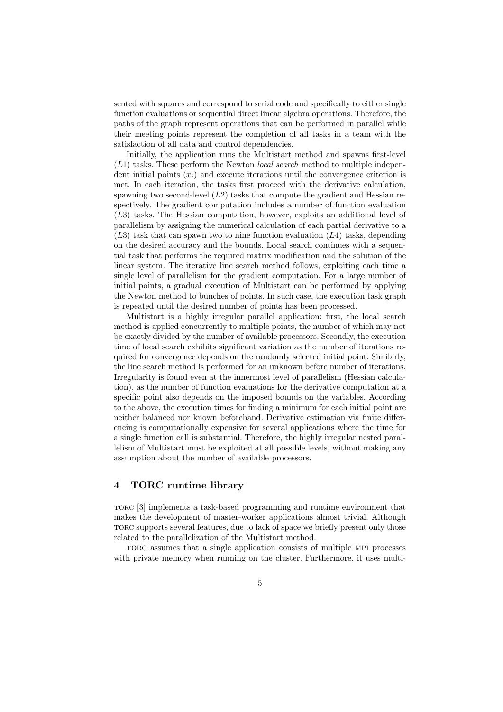sented with squares and correspond to serial code and specifically to either single function evaluations or sequential direct linear algebra operations. Therefore, the paths of the graph represent operations that can be performed in parallel while their meeting points represent the completion of all tasks in a team with the satisfaction of all data and control dependencies.

Initially, the application runs the Multistart method and spawns first-level (*L*1) tasks. These perform the Newton *local search* method to multiple independent initial points  $(x_i)$  and execute iterations until the convergence criterion is met. In each iteration, the tasks first proceed with the derivative calculation, spawning two second-level (*L*2) tasks that compute the gradient and Hessian respectively. The gradient computation includes a number of function evaluation (*L*3) tasks. The Hessian computation, however, exploits an additional level of parallelism by assigning the numerical calculation of each partial derivative to a (*L*3) task that can spawn two to nine function evaluation (*L*4) tasks, depending on the desired accuracy and the bounds. Local search continues with a sequential task that performs the required matrix modification and the solution of the linear system. The iterative line search method follows, exploiting each time a single level of parallelism for the gradient computation. For a large number of initial points, a gradual execution of Multistart can be performed by applying the Newton method to bunches of points. In such case, the execution task graph is repeated until the desired number of points has been processed.

Multistart is a highly irregular parallel application: first, the local search method is applied concurrently to multiple points, the number of which may not be exactly divided by the number of available processors. Secondly, the execution time of local search exhibits significant variation as the number of iterations required for convergence depends on the randomly selected initial point. Similarly, the line search method is performed for an unknown before number of iterations. Irregularity is found even at the innermost level of parallelism (Hessian calculation), as the number of function evaluations for the derivative computation at a specific point also depends on the imposed bounds on the variables. According to the above, the execution times for finding a minimum for each initial point are neither balanced nor known beforehand. Derivative estimation via finite differencing is computationally expensive for several applications where the time for a single function call is substantial. Therefore, the highly irregular nested parallelism of Multistart must be exploited at all possible levels, without making any assumption about the number of available processors.

## **4 TORC runtime library**

torc [3] implements a task-based programming and runtime environment that makes the development of master-worker applications almost trivial. Although torc supports several features, due to lack of space we briefly present only those related to the parallelization of the Multistart method.

torc assumes that a single application consists of multiple mpi processes with private memory when running on the cluster. Furthermore, it uses multi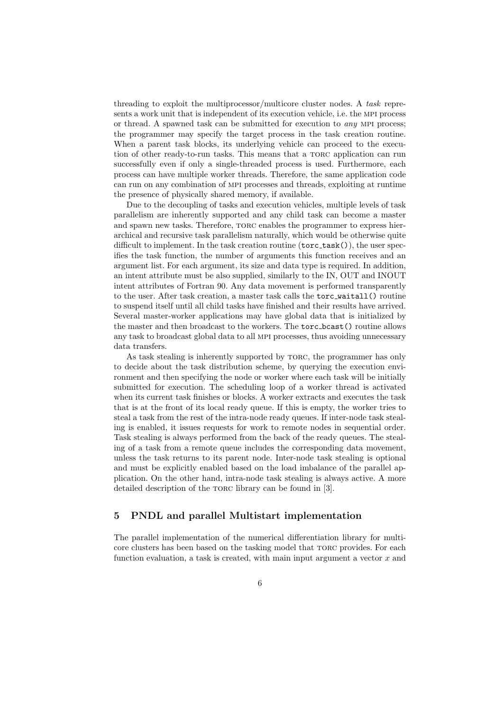threading to exploit the multiprocessor/multicore cluster nodes. A *task* represents a work unit that is independent of its execution vehicle, i.e. the mpi process or thread. A spawned task can be submitted for execution to *any* mpi process; the programmer may specify the target process in the task creation routine. When a parent task blocks, its underlying vehicle can proceed to the execution of other ready-to-run tasks. This means that a TORC application can run successfully even if only a single-threaded process is used. Furthermore, each process can have multiple worker threads. Therefore, the same application code can run on any combination of mpi processes and threads, exploiting at runtime the presence of physically shared memory, if available.

Due to the decoupling of tasks and execution vehicles, multiple levels of task parallelism are inherently supported and any child task can become a master and spawn new tasks. Therefore, TORC enables the programmer to express hierarchical and recursive task parallelism naturally, which would be otherwise quite difficult to implement. In the task creation routine  $(\texttt{torc}\text{-task}())$ , the user specifies the task function, the number of arguments this function receives and an argument list. For each argument, its size and data type is required. In addition, an intent attribute must be also supplied, similarly to the IN, OUT and INOUT intent attributes of Fortran 90. Any data movement is performed transparently to the user. After task creation, a master task calls the torc waitall() routine to suspend itself until all child tasks have finished and their results have arrived. Several master-worker applications may have global data that is initialized by the master and then broadcast to the workers. The torc bcast() routine allows any task to broadcast global data to all mpi processes, thus avoiding unnecessary data transfers.

As task stealing is inherently supported by torc, the programmer has only to decide about the task distribution scheme, by querying the execution environment and then specifying the node or worker where each task will be initially submitted for execution. The scheduling loop of a worker thread is activated when its current task finishes or blocks. A worker extracts and executes the task that is at the front of its local ready queue. If this is empty, the worker tries to steal a task from the rest of the intra-node ready queues. If inter-node task stealing is enabled, it issues requests for work to remote nodes in sequential order. Task stealing is always performed from the back of the ready queues. The stealing of a task from a remote queue includes the corresponding data movement, unless the task returns to its parent node. Inter-node task stealing is optional and must be explicitly enabled based on the load imbalance of the parallel application. On the other hand, intra-node task stealing is always active. A more detailed description of the TORC library can be found in [3].

## **5 PNDL and parallel Multistart implementation**

The parallel implementation of the numerical differentiation library for multicore clusters has been based on the tasking model that torc provides. For each function evaluation, a task is created, with main input argument a vector *x* and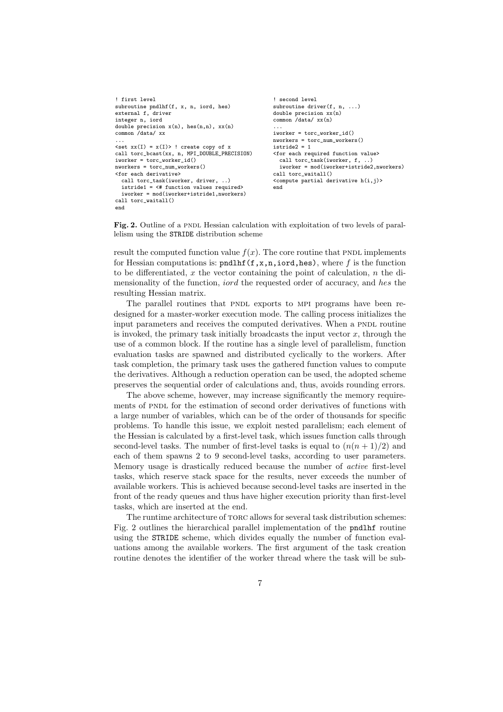```
! first level
subroutine pndlhf(f, x, n, iord, hes)
external f, driver
integer n, iord
double precision x(n), hes(n,n), xx(n)common /data/ xx
...
\text{Set } xx(I) = x(I) ! create copy of x
call torc_bcast(xx, n, MPI_DOUBLE_PRECISION)
iworker = torc_worker_id()
nworkers = torc_num_workers()
<for each derivative>
  call torc_task(iworker, driver, ..)
  istride1 = <# function values required>
  iworker = mod(iworker+istride1,nworkers)
call torc_waitall()
end
                                                    ! second level
                                                    subroutine driver(f, n, ...)
                                                    double precision xx(n)
                                                    common /data/ xx(n)
                                                    ...
iworker = torc_worker_id()
                                                    nworkers = torc_num_workers()
                                                    istride2 = 1<for each required function value>
                                                      call torc_task(iworker, f, ..)
                                                      iworker = mod(iworker+istride2,nworkers)
                                                    call torc_waitall()
                                                    <compute partial derivative h(i,j)>
                                                    end
```
Fig. 2. Outline of a PNDL Hessian calculation with exploitation of two levels of parallelism using the STRIDE distribution scheme

result the computed function value  $f(x)$ . The core routine that PNDL implements for Hessian computations is: pndlhf(f,x,n,iord,hes), where *f* is the function to be differentiated, *x* the vector containing the point of calculation, *n* the dimensionality of the function, *iord* the requested order of accuracy, and *hes* the resulting Hessian matrix.

The parallel routines that PNDL exports to MPI programs have been redesigned for a master-worker execution mode. The calling process initializes the input parameters and receives the computed derivatives. When a PNDL routine is invoked, the primary task initially broadcasts the input vector  $x$ , through the use of a common block. If the routine has a single level of parallelism, function evaluation tasks are spawned and distributed cyclically to the workers. After task completion, the primary task uses the gathered function values to compute the derivatives. Although a reduction operation can be used, the adopted scheme preserves the sequential order of calculations and, thus, avoids rounding errors.

The above scheme, however, may increase significantly the memory requirements of PNDL for the estimation of second order derivatives of functions with a large number of variables, which can be of the order of thousands for specific problems. To handle this issue, we exploit nested parallelism; each element of the Hessian is calculated by a first-level task, which issues function calls through second-level tasks. The number of first-level tasks is equal to  $(n(n+1)/2)$  and each of them spawns 2 to 9 second-level tasks, according to user parameters. Memory usage is drastically reduced because the number of *active* first-level tasks, which reserve stack space for the results, never exceeds the number of available workers. This is achieved because second-level tasks are inserted in the front of the ready queues and thus have higher execution priority than first-level tasks, which are inserted at the end.

The runtime architecture of torc allows for several task distribution schemes: Fig. 2 outlines the hierarchical parallel implementation of the pndlhf routine using the STRIDE scheme, which divides equally the number of function evaluations among the available workers. The first argument of the task creation routine denotes the identifier of the worker thread where the task will be sub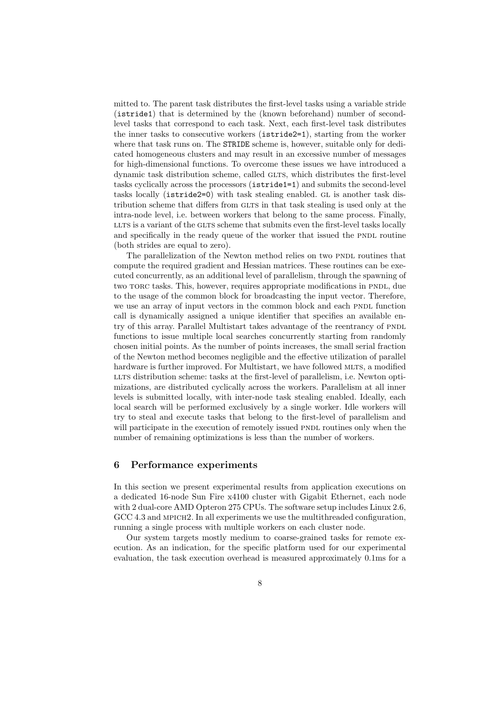mitted to. The parent task distributes the first-level tasks using a variable stride (istride1) that is determined by the (known beforehand) number of secondlevel tasks that correspond to each task. Next, each first-level task distributes the inner tasks to consecutive workers (istride2=1), starting from the worker where that task runs on. The **STRIDE** scheme is, however, suitable only for dedicated homogeneous clusters and may result in an excessive number of messages for high-dimensional functions. To overcome these issues we have introduced a dynamic task distribution scheme, called GLTS, which distributes the first-level tasks cyclically across the processors (istride1=1) and submits the second-level tasks locally (istride2=0) with task stealing enabled. gl is another task distribution scheme that differs from GLTS in that task stealing is used only at the intra-node level, i.e. between workers that belong to the same process. Finally, LLTS is a variant of the GLTS scheme that submits even the first-level tasks locally and specifically in the ready queue of the worker that issued the PNDL routine (both strides are equal to zero).

The parallelization of the Newton method relies on two PNDL routines that compute the required gradient and Hessian matrices. These routines can be executed concurrently, as an additional level of parallelism, through the spawning of two TORC tasks. This, however, requires appropriate modifications in PNDL, due to the usage of the common block for broadcasting the input vector. Therefore, we use an array of input vectors in the common block and each PNDL function call is dynamically assigned a unique identifier that specifies an available entry of this array. Parallel Multistart takes advantage of the reentrancy of PNDL functions to issue multiple local searches concurrently starting from randomly chosen initial points. As the number of points increases, the small serial fraction of the Newton method becomes negligible and the effective utilization of parallel hardware is further improved. For Multistart, we have followed MLTS, a modified llts distribution scheme: tasks at the first-level of parallelism, i.e. Newton optimizations, are distributed cyclically across the workers. Parallelism at all inner levels is submitted locally, with inter-node task stealing enabled. Ideally, each local search will be performed exclusively by a single worker. Idle workers will try to steal and execute tasks that belong to the first-level of parallelism and will participate in the execution of remotely issued PNDL routines only when the number of remaining optimizations is less than the number of workers.

#### **6 Performance experiments**

In this section we present experimental results from application executions on a dedicated 16-node Sun Fire x4100 cluster with Gigabit Ethernet, each node with 2 dual-core AMD Opteron 275 CPUs. The software setup includes Linux 2.6, GCC 4.3 and MPICH2. In all experiments we use the multithreaded configuration, running a single process with multiple workers on each cluster node.

Our system targets mostly medium to coarse-grained tasks for remote execution. As an indication, for the specific platform used for our experimental evaluation, the task execution overhead is measured approximately 0.1ms for a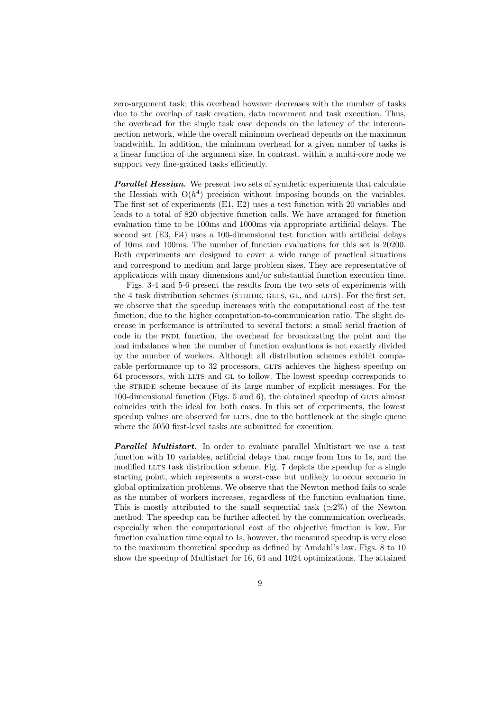zero-argument task; this overhead however decreases with the number of tasks due to the overlap of task creation, data movement and task execution. Thus, the overhead for the single task case depends on the latency of the interconnection network, while the overall minimum overhead depends on the maximum bandwidth. In addition, the minimum overhead for a given number of tasks is a linear function of the argument size. In contrast, within a multi-core node we support very fine-grained tasks efficiently.

*Parallel Hessian.* We present two sets of synthetic experiments that calculate the Hessian with  $O(h^4)$  precision without imposing bounds on the variables. The first set of experiments (E1, E2) uses a test function with 20 variables and leads to a total of 820 objective function calls. We have arranged for function evaluation time to be 100ms and 1000ms via appropriate artificial delays. The second set (E3, E4) uses a 100-dimensional test function with artificial delays of 10ms and 100ms. The number of function evaluations for this set is 20200. Both experiments are designed to cover a wide range of practical situations and correspond to medium and large problem sizes. They are representative of applications with many dimensions and/or substantial function execution time.

Figs. 3-4 and 5-6 present the results from the two sets of experiments with the 4 task distribution schemes ( $STRIDE$ ,  $GLTS$ ,  $GL$ , and  $LLTS$ ). For the first set, we observe that the speedup increases with the computational cost of the test function, due to the higher computation-to-communication ratio. The slight decrease in performance is attributed to several factors: a small serial fraction of code in the PNDL function, the overhead for broadcasting the point and the load imbalance when the number of function evaluations is not exactly divided by the number of workers. Although all distribution schemes exhibit comparable performance up to 32 processors, GLTS achieves the highest speedup on 64 processors, with llts and gl to follow. The lowest speedup corresponds to the stride scheme because of its large number of explicit messages. For the 100-dimensional function (Figs.  $5$  and  $6$ ), the obtained speedup of GLTs almost coincides with the ideal for both cases. In this set of experiments, the lowest speedup values are observed for LLTS, due to the bottleneck at the single queue where the 5050 first-level tasks are submitted for execution.

*Parallel Multistart.* In order to evaluate parallel Multistart we use a test function with 10 variables, artificial delays that range from 1ms to 1s, and the modified LLTS task distribution scheme. Fig. 7 depicts the speedup for a single starting point, which represents a worst-case but unlikely to occur scenario in global optimization problems. We observe that the Newton method fails to scale as the number of workers increases, regardless of the function evaluation time. This is mostly attributed to the small sequential task (*≃*2%) of the Newton method. The speedup can be further affected by the communication overheads, especially when the computational cost of the objective function is low. For function evaluation time equal to 1s, however, the measured speedup is very close to the maximum theoretical speedup as defined by Amdahl's law. Figs. 8 to 10 show the speedup of Multistart for 16, 64 and 1024 optimizations. The attained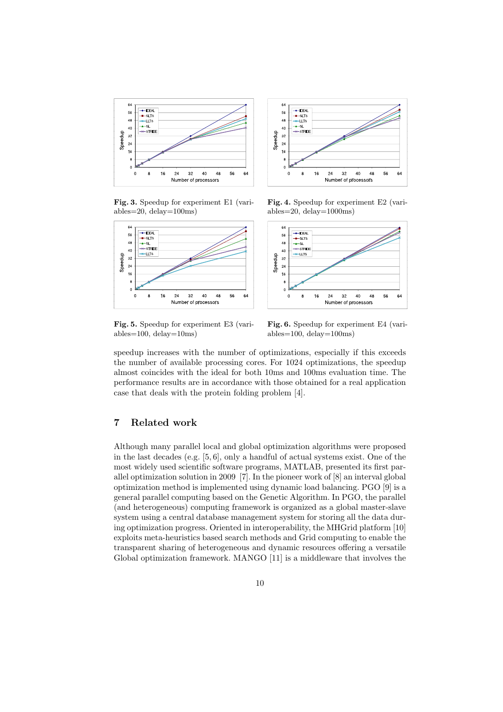

**Fig. 3.** Speedup for experiment E1 (variables=20, delay=100ms)



**Fig. 4.** Speedup for experiment E2 (variables= $20.$  delay= $1000$ ms)



**Fig. 5.** Speedup for experiment E3 (variables=100, delay=10ms)

**Fig. 6.** Speedup for experiment E4 (variables=100, delay=100ms)

speedup increases with the number of optimizations, especially if this exceeds the number of available processing cores. For 1024 optimizations, the speedup almost coincides with the ideal for both 10ms and 100ms evaluation time. The performance results are in accordance with those obtained for a real application case that deals with the protein folding problem [4].

# **7 Related work**

Although many parallel local and global optimization algorithms were proposed in the last decades (e.g. [5, 6], only a handful of actual systems exist. One of the most widely used scientific software programs, MATLAB, presented its first parallel optimization solution in 2009 [7]. In the pioneer work of [8] an interval global optimization method is implemented using dynamic load balancing. PGO [9] is a general parallel computing based on the Genetic Algorithm. In PGO, the parallel (and heterogeneous) computing framework is organized as a global master-slave system using a central database management system for storing all the data during optimization progress. Oriented in interoperability, the MHGrid platform [10] exploits meta-heuristics based search methods and Grid computing to enable the transparent sharing of heterogeneous and dynamic resources offering a versatile Global optimization framework. MANGO [11] is a middleware that involves the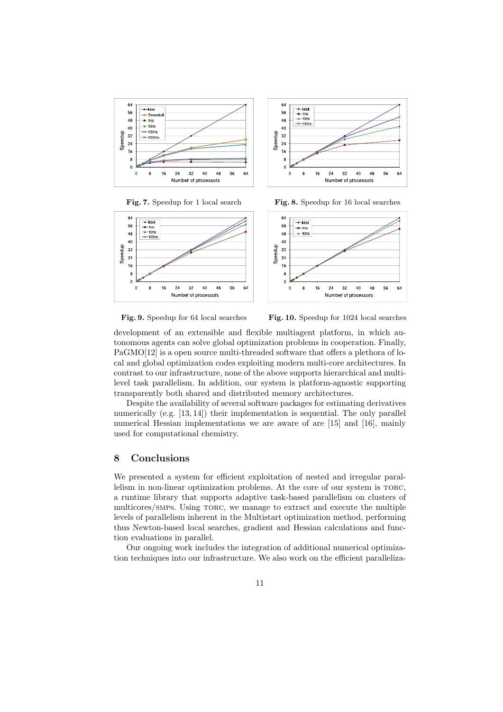



**Fig. 9.** Speedup for 64 local searches **Fig. 10.** Speedup for 1024 local searches

development of an extensible and flexible multiagent platform, in which autonomous agents can solve global optimization problems in cooperation. Finally, PaGMO[12] is a open source multi-threaded software that offers a plethora of local and global optimization codes exploiting modern multi-core architectures. In contrast to our infrastructure, none of the above supports hierarchical and multilevel task parallelism. In addition, our system is platform-agnostic supporting transparently both shared and distributed memory architectures.

Despite the availability of several software packages for estimating derivatives numerically (e.g. [13, 14]) their implementation is sequential. The only parallel numerical Hessian implementations we are aware of are [15] and [16], mainly used for computational chemistry.

## **8 Conclusions**

We presented a system for efficient exploitation of nested and irregular parallelism in non-linear optimization problems. At the core of our system is torc, a runtime library that supports adaptive task-based parallelism on clusters of multicores/SMPs. Using TORC, we manage to extract and execute the multiple levels of parallelism inherent in the Multistart optimization method, performing thus Newton-based local searches, gradient and Hessian calculations and function evaluations in parallel.

Our ongoing work includes the integration of additional numerical optimization techniques into our infrastructure. We also work on the efficient paralleliza